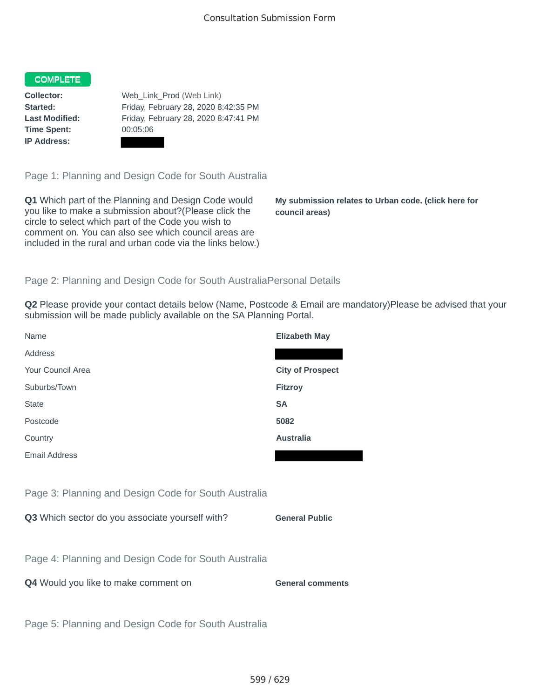## COMPLETE

**Time Spent:** 00:05:06 **IP Address:**

**Collector:** Web\_Link\_Prod (Web Link) **Started:** Friday, February 28, 2020 8:42:35 PM **Last Modified:** Friday, February 28, 2020 8:47:41 PM

Page 1: Planning and Design Code for South Australia

**Q1** Which part of the Planning and Design Code would you like to make a submission about?(Please click the circle to select which part of the Code you wish to comment on. You can also see which council areas are included in the rural and urban code via the links below.)

**My submission relates to Urban code. (click here for council areas)**

## Page 2: Planning and Design Code for South AustraliaPersonal Details

**Q2** Please provide your contact details below (Name, Postcode & Email are mandatory)Please be advised that your submission will be made publicly available on the SA Planning Portal.

| Name                                                 | <b>Elizabeth May</b>    |
|------------------------------------------------------|-------------------------|
| Address                                              |                         |
| Your Council Area                                    | <b>City of Prospect</b> |
| Suburbs/Town                                         | Fitzroy                 |
| <b>State</b>                                         | <b>SA</b>               |
| Postcode                                             | 5082                    |
| Country                                              | <b>Australia</b>        |
| <b>Email Address</b>                                 |                         |
|                                                      |                         |
| Page 3: Planning and Design Code for South Australia |                         |
| Q3 Which sector do you associate yourself with?      | <b>General Public</b>   |
|                                                      |                         |
| Page 4: Planning and Design Code for South Australia |                         |
| Q4 Would you like to make comment on                 | <b>General comments</b> |
|                                                      |                         |
| Page 5: Planning and Design Code for South Australia |                         |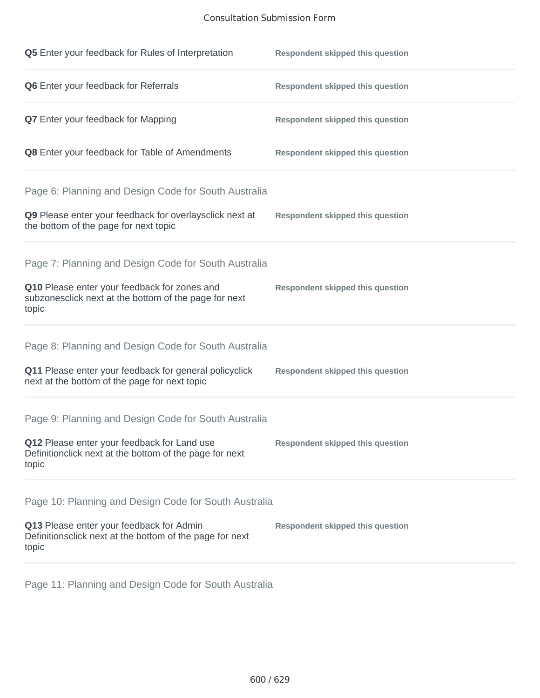# Consultation Submission Form

| Q5 Enter your feedback for Rules of Interpretation                                                              | <b>Respondent skipped this question</b> |
|-----------------------------------------------------------------------------------------------------------------|-----------------------------------------|
| Q6 Enter your feedback for Referrals                                                                            | <b>Respondent skipped this question</b> |
| <b>Q7</b> Enter your feedback for Mapping                                                                       | <b>Respondent skipped this question</b> |
| Q8 Enter your feedback for Table of Amendments                                                                  | <b>Respondent skipped this question</b> |
| Page 6: Planning and Design Code for South Australia                                                            |                                         |
| Q9 Please enter your feedback for overlaysclick next at<br>the bottom of the page for next topic                | <b>Respondent skipped this question</b> |
| Page 7: Planning and Design Code for South Australia                                                            |                                         |
| Q10 Please enter your feedback for zones and<br>subzonesclick next at the bottom of the page for next<br>topic  | <b>Respondent skipped this question</b> |
| Page 8: Planning and Design Code for South Australia                                                            |                                         |
| Q11 Please enter your feedback for general policyclick<br>next at the bottom of the page for next topic         | <b>Respondent skipped this question</b> |
| Page 9: Planning and Design Code for South Australia                                                            |                                         |
| Q12 Please enter your feedback for Land use<br>Definitionclick next at the bottom of the page for next<br>topic | <b>Respondent skipped this question</b> |
| Page 10: Planning and Design Code for South Australia                                                           |                                         |
| Q13 Please enter your feedback for Admin<br>Definitionsclick next at the bottom of the page for next<br>topic   | <b>Respondent skipped this question</b> |

Page 11: Planning and Design Code for South Australia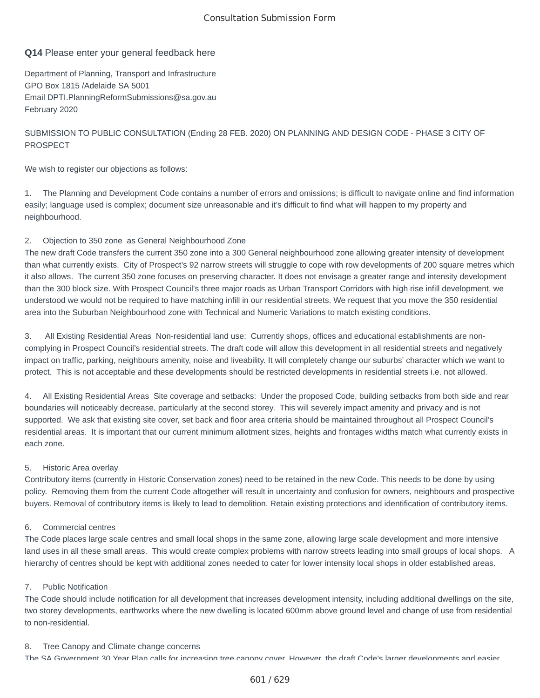## Consultation Submission Form

# **Q14** Please enter your general feedback here

Department of Planning, Transport and Infrastructure GPO Box 1815 /Adelaide SA 5001 Email DPTI.PlanningReformSubmissions@sa.gov.au February 2020

# SUBMISSION TO PUBLIC CONSULTATION (Ending 28 FEB. 2020) ON PLANNING AND DESIGN CODE - PHASE 3 CITY OF PROSPECT

We wish to register our objections as follows:

1. The Planning and Development Code contains a number of errors and omissions; is difficult to navigate online and find information easily; language used is complex; document size unreasonable and it's difficult to find what will happen to my property and neighbourhood.

### 2. Objection to 350 zone as General Neighbourhood Zone

The new draft Code transfers the current 350 zone into a 300 General neighbourhood zone allowing greater intensity of development than what currently exists. City of Prospect's 92 narrow streets will struggle to cope with row developments of 200 square metres which it also allows. The current 350 zone focuses on preserving character. It does not envisage a greater range and intensity development than the 300 block size. With Prospect Council's three major roads as Urban Transport Corridors with high rise infill development, we understood we would not be required to have matching infill in our residential streets. We request that you move the 350 residential area into the Suburban Neighbourhood zone with Technical and Numeric Variations to match existing conditions.

3. All Existing Residential Areas Non-residential land use: Currently shops, offices and educational establishments are noncomplying in Prospect Council's residential streets. The draft code will allow this development in all residential streets and negatively impact on traffic, parking, neighbours amenity, noise and liveability. It will completely change our suburbs' character which we want to protect. This is not acceptable and these developments should be restricted developments in residential streets i.e. not allowed.

4. All Existing Residential Areas Site coverage and setbacks: Under the proposed Code, building setbacks from both side and rear boundaries will noticeably decrease, particularly at the second storey. This will severely impact amenity and privacy and is not supported. We ask that existing site cover, set back and floor area criteria should be maintained throughout all Prospect Council's residential areas. It is important that our current minimum allotment sizes, heights and frontages widths match what currently exists in each zone.

### 5. Historic Area overlay

Contributory items (currently in Historic Conservation zones) need to be retained in the new Code. This needs to be done by using policy. Removing them from the current Code altogether will result in uncertainty and confusion for owners, neighbours and prospective buyers. Removal of contributory items is likely to lead to demolition. Retain existing protections and identification of contributory items.

### 6. Commercial centres

The Code places large scale centres and small local shops in the same zone, allowing large scale development and more intensive land uses in all these small areas. This would create complex problems with narrow streets leading into small groups of local shops. A hierarchy of centres should be kept with additional zones needed to cater for lower intensity local shops in older established areas.

### 7. Public Notification

The Code should include notification for all development that increases development intensity, including additional dwellings on the site, two storey developments, earthworks where the new dwelling is located 600mm above ground level and change of use from residential to non-residential.

### 8. Tree Canopy and Climate change concerns

The SA Government 30 Year Plan calls for increasing tree canopy cover However the draft Code's larger developments and easier